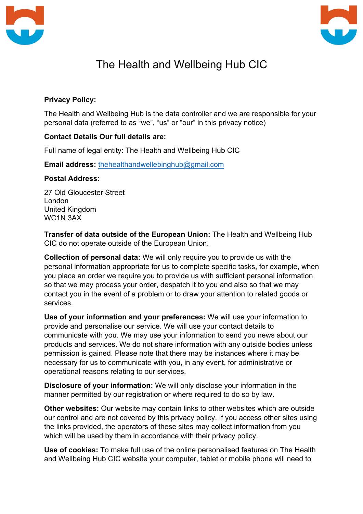



## The Health and Wellbeing Hub CIC

## **Privacy Policy:**

The Health and Wellbeing Hub is the data controller and we are responsible for your personal data (referred to as "we", "us" or "our" in this privacy notice)

## **Contact Details Our full details are:**

Full name of legal entity: The Health and Wellbeing Hub CIC

**Email address:** thehealthandwellebinghub@gmail.com

## **Postal Address:**

27 Old Gloucester Street London United Kingdom WC1N 3AX

**Transfer of data outside of the European Union:** The Health and Wellbeing Hub CIC do not operate outside of the European Union.

**Collection of personal data:** We will only require you to provide us with the personal information appropriate for us to complete specific tasks, for example, when you place an order we require you to provide us with sufficient personal information so that we may process your order, despatch it to you and also so that we may contact you in the event of a problem or to draw your attention to related goods or services.

**Use of your information and your preferences:** We will use your information to provide and personalise our service. We will use your contact details to communicate with you. We may use your information to send you news about our products and services. We do not share information with any outside bodies unless permission is gained. Please note that there may be instances where it may be necessary for us to communicate with you, in any event, for administrative or operational reasons relating to our services.

**Disclosure of your information:** We will only disclose your information in the manner permitted by our registration or where required to do so by law.

**Other websites:** Our website may contain links to other websites which are outside our control and are not covered by this privacy policy. If you access other sites using the links provided, the operators of these sites may collect information from you which will be used by them in accordance with their privacy policy.

**Use of cookies:** To make full use of the online personalised features on The Health and Wellbeing Hub CIC website your computer, tablet or mobile phone will need to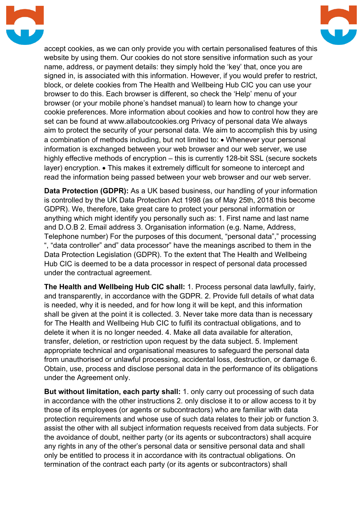



accept cookies, as we can only provide you with certain personalised features of this website by using them. Our cookies do not store sensitive information such as your name, address, or payment details: they simply hold the 'key' that, once you are signed in, is associated with this information. However, if you would prefer to restrict, block, or delete cookies from The Health and Wellbeing Hub CIC you can use your browser to do this. Each browser is different, so check the 'Help' menu of your browser (or your mobile phone's handset manual) to learn how to change your cookie preferences. More information about cookies and how to control how they are set can be found at www.allaboutcookies.org Privacy of personal data We always aim to protect the security of your personal data. We aim to accomplish this by using a combination of methods including, but not limited to: • Whenever your personal information is exchanged between your web browser and our web server, we use highly effective methods of encryption – this is currently 128-bit SSL (secure sockets layer) encryption. • This makes it extremely difficult for someone to intercept and read the information being passed between your web browser and our web server.

**Data Protection (GDPR):** As a UK based business, our handling of your information is controlled by the UK Data Protection Act 1998 (as of May 25th, 2018 this become GDPR). We, therefore, take great care to protect your personal information or anything which might identify you personally such as: 1. First name and last name and D.O.B 2. Email address 3. Organisation information (e.g. Name, Address, Telephone number) For the purposes of this document, "personal data"," processing ", "data controller" and" data processor" have the meanings ascribed to them in the Data Protection Legislation (GDPR). To the extent that The Health and Wellbeing Hub CIC is deemed to be a data processor in respect of personal data processed under the contractual agreement.

**The Health and Wellbeing Hub CIC shall:** 1. Process personal data lawfully, fairly, and transparently, in accordance with the GDPR. 2. Provide full details of what data is needed, why it is needed, and for how long it will be kept, and this information shall be given at the point it is collected. 3. Never take more data than is necessary for The Health and Wellbeing Hub CIC to fulfil its contractual obligations, and to delete it when it is no longer needed. 4. Make all data available for alteration, transfer, deletion, or restriction upon request by the data subject. 5. Implement appropriate technical and organisational measures to safeguard the personal data from unauthorised or unlawful processing, accidental loss, destruction, or damage 6. Obtain, use, process and disclose personal data in the performance of its obligations under the Agreement only.

**But without limitation, each party shall:** 1. only carry out processing of such data in accordance with the other instructions 2. only disclose it to or allow access to it by those of its employees (or agents or subcontractors) who are familiar with data protection requirements and whose use of such data relates to their job or function 3. assist the other with all subject information requests received from data subjects. For the avoidance of doubt, neither party (or its agents or subcontractors) shall acquire any rights in any of the other's personal data or sensitive personal data and shall only be entitled to process it in accordance with its contractual obligations. On termination of the contract each party (or its agents or subcontractors) shall